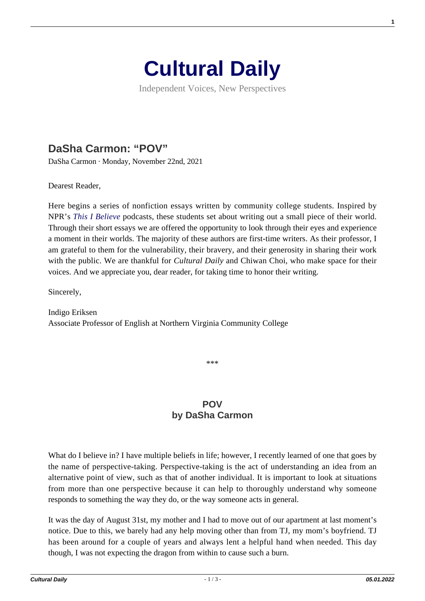

Independent Voices, New Perspectives

## **[DaSha Carmon: "POV"](https://culturaldaily.com/dasha-carmon-pov/)**

DaSha Carmon · Monday, November 22nd, 2021

Dearest Reader,

Here begins a series of nonfiction essays written by community college students. Inspired by NPR's *[This I Believe](https://thisibelieve.org)* podcasts, these students set about writing out a small piece of their world. Through their short essays we are offered the opportunity to look through their eyes and experience a moment in their worlds. The majority of these authors are first-time writers. As their professor, I am grateful to them for the vulnerability, their bravery, and their generosity in sharing their work with the public. We are thankful for *Cultural Daily* and Chiwan Choi, who make space for their voices. And we appreciate you, dear reader, for taking time to honor their writing.

Sincerely,

Indigo Eriksen Associate Professor of English at Northern Virginia Community College

\*\*\*

## **POV by DaSha Carmon**

What do I believe in? I have multiple beliefs in life; however, I recently learned of one that goes by the name of perspective-taking. Perspective-taking is the act of understanding an idea from an alternative point of view, such as that of another individual. It is important to look at situations from more than one perspective because it can help to thoroughly understand why someone responds to something the way they do, or the way someone acts in general.

It was the day of August 31st, my mother and I had to move out of our apartment at last moment's notice. Due to this, we barely had any help moving other than from TJ, my mom's boyfriend. TJ has been around for a couple of years and always lent a helpful hand when needed. This day though, I was not expecting the dragon from within to cause such a burn.

**1**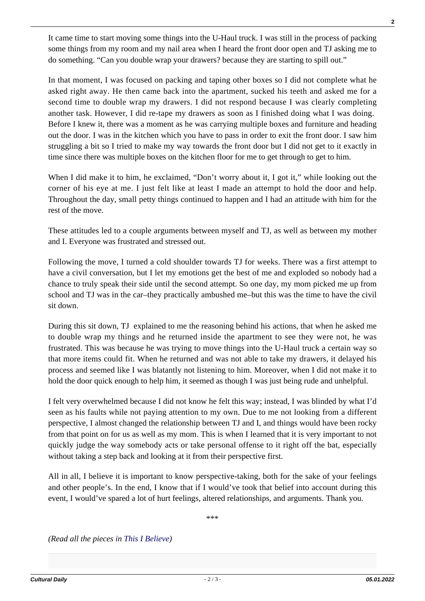It came time to start moving some things into the U-Haul truck. I was still in the process of packing some things from my room and my nail area when I heard the front door open and TJ asking me to do something. "Can you double wrap your drawers? because they are starting to spill out."

In that moment, I was focused on packing and taping other boxes so I did not complete what he asked right away. He then came back into the apartment, sucked his teeth and asked me for a second time to double wrap my drawers. I did not respond because I was clearly completing another task. However, I did re-tape my drawers as soon as I finished doing what I was doing. Before I knew it, there was a moment as he was carrying multiple boxes and furniture and heading out the door. I was in the kitchen which you have to pass in order to exit the front door. I saw him struggling a bit so I tried to make my way towards the front door but I did not get to it exactly in time since there was multiple boxes on the kitchen floor for me to get through to get to him.

When I did make it to him, he exclaimed, "Don't worry about it, I got it," while looking out the corner of his eye at me. I just felt like at least I made an attempt to hold the door and help. Throughout the day, small petty things continued to happen and I had an attitude with him for the rest of the move.

These attitudes led to a couple arguments between myself and TJ, as well as between my mother and I. Everyone was frustrated and stressed out.

Following the move, I turned a cold shoulder towards TJ for weeks. There was a first attempt to have a civil conversation, but I let my emotions get the best of me and exploded so nobody had a chance to truly speak their side until the second attempt. So one day, my mom picked me up from school and TJ was in the car–they practically ambushed me–but this was the time to have the civil sit down.

During this sit down, TJ explained to me the reasoning behind his actions, that when he asked me to double wrap my things and he returned inside the apartment to see they were not, he was frustrated. This was because he was trying to move things into the U-Haul truck a certain way so that more items could fit. When he returned and was not able to take my drawers, it delayed his process and seemed like I was blatantly not listening to him. Moreover, when I did not make it to hold the door quick enough to help him, it seemed as though I was just being rude and unhelpful.

I felt very overwhelmed because I did not know he felt this way; instead, I was blinded by what I'd seen as his faults while not paying attention to my own. Due to me not looking from a different perspective, I almost changed the relationship between TJ and I, and things would have been rocky from that point on for us as well as my mom. This is when I learned that it is very important to not quickly judge the way somebody acts or take personal offense to it right off the bat, especially without taking a step back and looking at it from their perspective first.

All in all, I believe it is important to know perspective-taking, both for the sake of your feelings and other people's. In the end, I know that if I would've took that belief into account during this event, I would've spared a lot of hurt feelings, altered relationships, and arguments. Thank you.

\*\*\*

*(Read all the pieces in [This I Believe](https://www.culturaldaily.com/tag/this-i-believe/))*